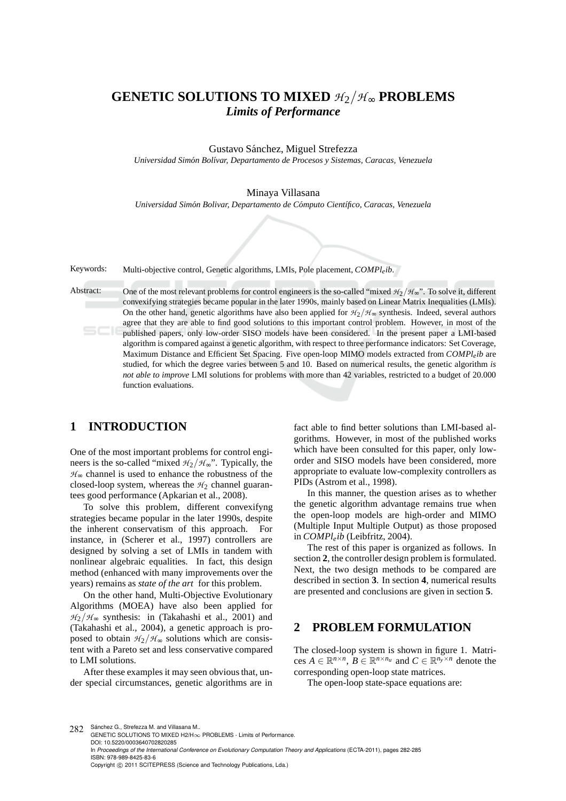# **GENETIC SOLUTIONS TO MIXED** *H*2/*H* <sup>∞</sup> **PROBLEMS** *Limits of Performance*

Gustavo Sánchez, Miguel Strefezza

*Universidad Sim´on Bol´ıvar, Departamento de Procesos y Sistemas, Caracas, Venezuela*

#### Minaya Villasana

*Universidad Sim´on Bolivar, Departamento de C´omputo Cient´ıfico, Caracas, Venezuela*

Keywords: Multi-objective control, Genetic algorithms, LMIs, Pole placement, *COMPleib*.

Abstract: One of the most relevant problems for control engineers is the so-called "mixed  $H_2/H_{\infty}$ ". To solve it, different convexifying strategies became popular in the later 1990s, mainly based on Linear Matrix Inequalities (LMIs). On the other hand, genetic algorithms have also been applied for  $H_2/H_{\infty}$  synthesis. Indeed, several authors agree that they are able to find good solutions to this important control problem. However, in most of the published papers, only low-order SISO models have been considered. In the present paper a LMI-based algorithm is compared against a genetic algorithm, with respect to three performance indicators: Set Coverage, Maximum Distance and Efficient Set Spacing. Five open-loop MIMO models extracted from *COMPleib* are studied, for which the degree varies between 5 and 10. Based on numerical results, the genetic algorithm *is not able to improve* LMI solutions for problems with more than 42 variables, restricted to a budget of 20.000 function evaluations.

## **1 INTRODUCTION**

One of the most important problems for control engineers is the so-called "mixed  $H_2/H_$ ". Typically, the  $H_{\infty}$  channel is used to enhance the robustness of the closed-loop system, whereas the  $H_2$  channel guarantees good performance (Apkarian et al., 2008).

To solve this problem, different convexifyng strategies became popular in the later 1990s, despite the inherent conservatism of this approach. For instance, in (Scherer et al., 1997) controllers are designed by solving a set of LMIs in tandem with nonlinear algebraic equalities. In fact, this design method (enhanced with many improvements over the years) remains as *state of the art* for this problem.

On the other hand, Multi-Objective Evolutionary Algorithms (MOEA) have also been applied for  $H_2/H_{\infty}$  synthesis: in (Takahashi et al., 2001) and (Takahashi et al., 2004), a genetic approach is proposed to obtain  $H_2/H_{\infty}$  solutions which are consistent with a Pareto set and less conservative compared to LMI solutions.

After these examples it may seen obvious that, under special circumstances, genetic algorithms are in

fact able to find better solutions than LMI-based algorithms. However, in most of the published works which have been consulted for this paper, only loworder and SISO models have been considered, more appropriate to evaluate low-complexity controllers as PIDs (Astrom et al., 1998).

In this manner, the question arises as to whether the genetic algorithm advantage remains true when the open-loop models are high-order and MIMO (Multiple Input Multiple Output) as those proposed in *COMPleib* (Leibfritz, 2004).

The rest of this paper is organized as follows. In section **2**, the controller design problem is formulated. Next, the two design methods to be compared are described in section **3**. In section **4**, numerical results are presented and conclusions are given in section **5**.

### **2 PROBLEM FORMULATION**

The closed-loop system is shown in figure 1. Matrices  $A \in \mathbb{R}^{n \times n}$ ,  $B \in \mathbb{R}^{n \times n_u}$  and  $C \in \mathbb{R}^{n_y \times n}$  denote the corresponding open-loop state matrices.

The open-loop state-space equations are:

282 Sánchez G., Strefezza M. and Villasana M. GENETIC SOLUTIONS TO MIXED H2/H∞ PROBLEMS - Limits of Performance. DOI: 10.5220/0003640702820285 In *Proceedings of the International Conference on Evolutionary Computation Theory and Applications* (ECTA-2011), pages 282-285 ISBN: 978-989-8425-83-6 Copyright © 2011 SCITEPRESS (Science and Technology Publications, Lda.)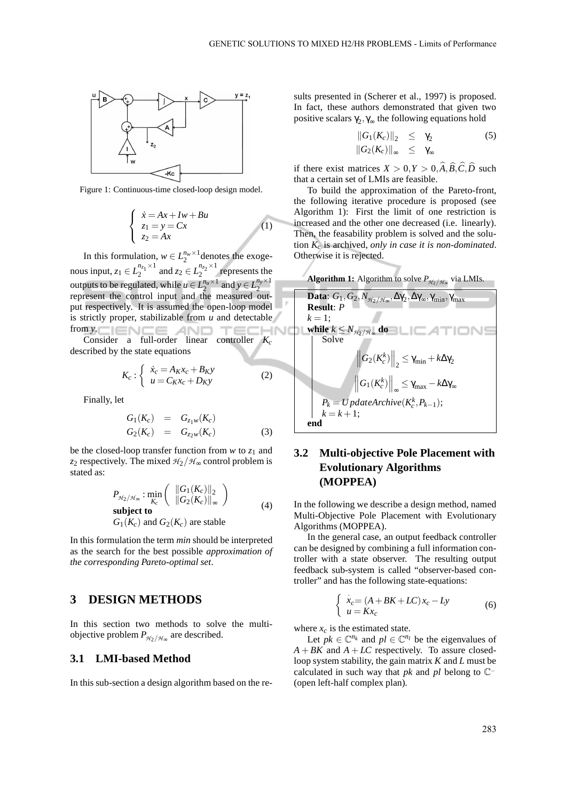

Figure 1: Continuous-time closed-loop design model.

$$
\begin{cases}\n\dot{x} = Ax + Iw + Bu \\
z_1 = y = Cx \\
z_2 = Ax\n\end{cases}
$$
\n(1)

In this formulation,  $w \in L_2^{n_w \times 1}$  denotes the exogenous input,  $z_1 \in L_2^{n_{z_1} \times 1}$  $\sum_{2}^{n_{z_1} \times 1}$  and  $z_2 \in L_2^{n_{z_2} \times 1}$  $\frac{n_{22}}{2}$  represents the outputs to be regulated, while  $u \in L_2^{n_u \times 1}$  and  $y \in L_2^{n_y \times 1}$ 2 represent the control input and the measured output respectively. It is assumed the open-loop model is strictly proper, stabilizable from *u* and detectable from  $y$ .  $\Box$ AND TE

Consider a full-order linear controller *K<sup>c</sup>* described by the state equations

$$
K_c: \begin{cases} \dot{x}_c = A_K x_c + B_K y \\ u = C_K x_c + D_K y \end{cases} \tag{2}
$$

Finally, let

$$
G_1(K_c) = G_{z_1w}(K_c)
$$
  
\n
$$
G_2(K_c) = G_{z_2w}(K_c)
$$
\n(3)

be the closed-loop transfer function from  $w$  to  $z_1$  and *z*<sub>2</sub> respectively. The mixed  $H_2/H_{\infty}$  control problem is stated as:

$$
P_{\mathcal{H}_2/\mathcal{H}_\infty} : \min_{K_c} \left( \begin{array}{c} \|G_1(K_c)\|_2 \\ \|G_2(K_c)\|_\infty \end{array} \right)
$$
  
\nsubject to  
\n
$$
G_1(K_c) \text{ and } G_2(K_c) \text{ are stable}
$$
\n(4)

In this formulation the term *min* should be interpreted as the search for the best possible *approximation of the corresponding Pareto-optimal set*.

### **3 DESIGN METHODS**

In this section two methods to solve the multiobjective problem  $P_{\mathcal{H}_2/\mathcal{H}_\infty}$  are described.

#### **3.1 LMI-based Method**

In this sub-section a design algorithm based on the re-

sults presented in (Scherer et al., 1997) is proposed. In fact, these authors demonstrated that given two positive scalars  $\gamma_2, \gamma_\infty$  the following equations hold

$$
||G_1(K_c)||_2 \leq \gamma_2
$$
  
\n
$$
||G_2(K_c)||_{\infty} \leq \gamma_{\infty}
$$
\n(5)

if there exist matrices  $X > 0, Y > 0, \widehat{A}, \widehat{B}, \widehat{C}, \widehat{D}$  such that a certain set of LMIs are feasible.

To build the approximation of the Pareto-front, the following iterative procedure is proposed (see Algorithm 1): First the limit of one restriction is increased and the other one decreased (i.e. linearly). Then, the feasability problem is solved and the solution *K<sup>c</sup>* is archived, *only in case it is non-dominated*. Otherwise it is rejected.



## **3.2 Multi-objective Pole Placement with Evolutionary Algorithms (MOPPEA)**

In the following we describe a design method, named Multi-Objective Pole Placement with Evolutionary Algorithms (MOPPEA).

In the general case, an output feedback controller can be designed by combining a full information controller with a state observer. The resulting output feedback sub-system is called "observer-based controller" and has the following state-equations:

$$
\begin{cases}\n\dot{x}_c = (A + BK + LC)x_c - Ly \\
u = Kx_c\n\end{cases}
$$
\n(6)

where  $x_c$  is the estimated state.

Let  $pk \in \mathbb{C}^{n_k}$  and  $pl \in \mathbb{C}^{n_l}$  be the eigenvalues of  $A + BK$  and  $A + LC$  respectively. To assure closedloop system stability, the gain matrix *K* and *L* must be calculated in such way that *pk* and *pl* belong to C<sup>−</sup> (open left-half complex plan)*.*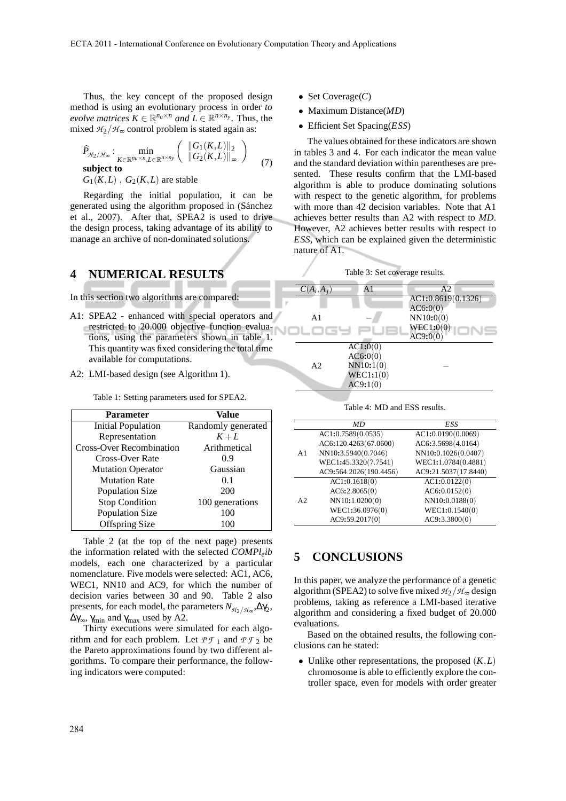Thus, the key concept of the proposed design method is using an evolutionary process in order *to evolve matrices*  $K \in \mathbb{R}^{n_u \times n}$  *and*  $L \in \mathbb{R}^{n \times n_y}$ . Thus, the mixed  $H_2/H_{\infty}$  control problem is stated again as:

$$
\widehat{P}_{\mathcal{H}_2/\mathcal{H}_\infty}: \min_{\substack{K \in \mathbb{R}^{n_u \times n}, L \in \mathbb{R}^{n \times n_y} \\ G_1(K, L), G_2(K, L) \text{ are stable}}} \left( \frac{\|G_1(K, L)\|_2}{\|G_2(K, L)\|_\infty} \right) \tag{7}
$$

Regarding the initial population, it can be generated using the algorithm proposed in (Sánchez et al., 2007). After that, SPEA2 is used to drive the design process, taking advantage of its ability to manage an archive of non-dominated solutions.

### **4 NUMERICAL RESULTS**

In this section two algorithms are compared:

- A1: SPEA2 enhanced with special operators and restricted to 20.000 objective function evaluations, using the parameters shown in table 1. This quantity was fixed considering the total time available for computations.
- A2: LMI-based design (see Algorithm 1).

Table 1: Setting parameters used for SPEA2.

| <b>Parameter</b>                | Value              |  |  |  |  |
|---------------------------------|--------------------|--|--|--|--|
| Initial Population              | Randomly generated |  |  |  |  |
| Representation                  | $K+L$              |  |  |  |  |
| <b>Cross-Over Recombination</b> | Arithmetical       |  |  |  |  |
| Cross-Over Rate                 | 0.9                |  |  |  |  |
| <b>Mutation Operator</b>        | Gaussian           |  |  |  |  |
| <b>Mutation Rate</b>            | 0.1                |  |  |  |  |
| <b>Population Size</b>          | 200                |  |  |  |  |
| <b>Stop Condition</b>           | 100 generations    |  |  |  |  |
| <b>Population Size</b>          | 100                |  |  |  |  |
| <b>Offspring Size</b>           | 100                |  |  |  |  |

Table 2 (at the top of the next page) presents the information related with the selected *COMPleib* models, each one characterized by a particular nomenclature. Five models were selected: AC1, AC6, WEC1, NN10 and AC9, for which the number of decision varies between 30 and 90. Table 2 also presents, for each model, the parameters  $N_{\mathcal{H}_2/\mathcal{H}_\infty}, \Delta \gamma_2$ ,  $\Delta \gamma_{\infty}$ ,  $\gamma_{\min}$  and  $\gamma_{\max}$  used by A2.

Thirty executions were simulated for each algorithm and for each problem. Let  $P \mathcal{F}_1$  and  $P \mathcal{F}_2$  be the Pareto approximations found by two different algorithms. To compare their performance, the following indicators were computed:

- Set Coverage(*C*)
- Maximum Distance(*MD*)
- Efficient Set Spacing(*ESS*)

The values obtained for these indicators are shown in tables 3 and 4. For each indicator the mean value and the standard deviation within parentheses are presented. These results confirm that the LMI-based algorithm is able to produce dominating solutions with respect to the genetic algorithm, for problems with more than 42 decision variables. Note that A1 achieves better results than A2 with respect to *MD*. However, A2 achieves better results with respect to *ESS*, which can be explained given the deterministic nature of A1.



| $C(A_i, A_j)$  | A1        | A2                 |
|----------------|-----------|--------------------|
|                |           | AC1:0.8619(0.1326) |
|                |           | AC6:0(0)           |
| A1             |           | NN10:0(0)          |
| .oc4           |           | WEC1:0(0)          |
|                |           | AC9:0(0)           |
|                | AC1:0(0)  |                    |
|                | AC6:0(0)  |                    |
| A <sub>2</sub> | NN10:1(0) |                    |
|                | WEC1:1(0) |                    |
|                | AC9:1(0)  |                    |
|                |           |                    |

Table 4: MD and ESS results.

|                | МD                     | ESS                  |
|----------------|------------------------|----------------------|
| A <sub>1</sub> | AC1:0.7589(0.0535)     | AC1:0.0190(0.0069)   |
|                | AC6:120.4263(67.0600)  | AC6:3.5698(4.0164)   |
|                | NN10:3.5940(0.7046)    | NN10:0.1026(0.0407)  |
|                | WEC1:45.3320(7.7541)   | WEC1:1.0784(0.4881)  |
|                | AC9:564.2026(190.4456) | AC9:21.5037(17.8440) |
|                | AC1:0.1618(0)          | AC1:0.0122(0)        |
| A <sub>2</sub> | AC6:2.8065(0)          | AC6:0.0152(0)        |
|                | NN10:1.0200(0)         | NN10:0.0188(0)       |
|                | WEC1:36.0976(0)        | WEC1:0.1540(0)       |
|                | AC9:59.2017(0)         | AC9:3.3800(0)        |

### **5 CONCLUSIONS**

In this paper, we analyze the performance of a genetic algorithm (SPEA2) to solve five mixed  $H_2/H_{\infty}$  design problems, taking as reference a LMI-based iterative algorithm and considering a fixed budget of 20.000 evaluations.

Based on the obtained results, the following conclusions can be stated:

• Unlike other representations, the proposed  $(K, L)$ chromosome is able to efficiently explore the controller space, even for models with order greater